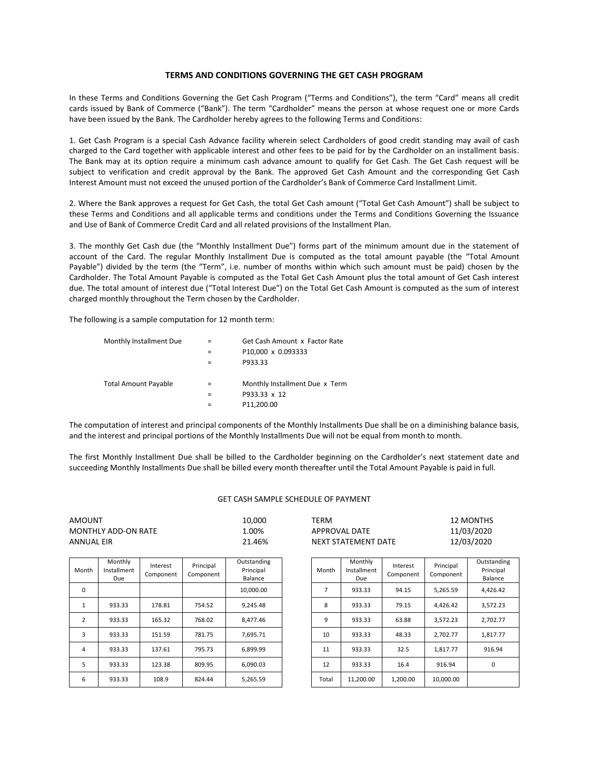## **TERMS AND CONDITIONS GOVERNING THE GET CASH PROGRAM**

In these Terms and Conditions Governing the Get Cash Program ("Terms and Conditions"), the term "Card" means all credit cards issued by Bank of Commerce ("Bank"). The term "Cardholder" means the person at whose request one or more Cards have been issued by the Bank. The Cardholder hereby agrees to the following Terms and Conditions:

1. Get Cash Program is a special Cash Advance facility wherein select Cardholders of good credit standing may avail of cash charged to the Card together with applicable interest and other fees to be paid for by the Cardholder on an installment basis. The Bank may at its option require a minimum cash advance amount to qualify for Get Cash. The Get Cash request will be subject to verification and credit approval by the Bank. The approved Get Cash Amount and the corresponding Get Cash Interest Amount must not exceed the unused portion of the Cardholder's Bank of Commerce Card Installment Limit.

2. Where the Bank approves a request for Get Cash, the total Get Cash amount ("Total Get Cash Amount") shall be subject to these Terms and Conditions and all applicable terms and conditions under the Terms and Conditions Governing the Issuance and Use of Bank of Commerce Credit Card and all related provisions of the Installment Plan.

3. The monthly Get Cash due (the "Monthly Installment Due") forms part of the minimum amount due in the statement of account of the Card. The regular Monthly Installment Due is computed as the total amount payable (the "Total Amount Payable") divided by the term (the "Term", i.e. number of months within which such amount must be paid) chosen by the Cardholder. The Total Amount Payable is computed as the Total Get Cash Amount plus the total amount of Get Cash interest due. The total amount of interest due ("Total Interest Due") on the Total Get Cash Amount is computed as the sum of interest charged monthly throughout the Term chosen by the Cardholder.

The following is a sample computation for 12 month term:

| Monthly Installment Due     | Get Cash Amount x Factor Rate  |  |  |
|-----------------------------|--------------------------------|--|--|
|                             | P10,000 x 0.093333             |  |  |
|                             | P933.33                        |  |  |
|                             |                                |  |  |
| <b>Total Amount Payable</b> | Monthly Installment Due x Term |  |  |
|                             | P933.33 x 12                   |  |  |
|                             | P11,200.00                     |  |  |
|                             |                                |  |  |

The computation of interest and principal components of the Monthly Installments Due shall be on a diminishing balance basis, and the interest and principal portions of the Monthly Installments Due will not be equal from month to month.

The first Monthly Installment Due shall be billed to the Cardholder beginning on the Cardholder's next statement date and succeeding Monthly Installments Due shall be billed every month thereafter until the Total Amount Payable is paid in full.

## GET CASH SAMPLE SCHEDULE OF PAYMENT

| AMOUNT              | 10,000 | TERM                | 12 MONTHS  |
|---------------------|--------|---------------------|------------|
| MONTHLY ADD-ON RATE | 1.00%  | APPROVAL DATE       | 11/03/2020 |
| ANNUAL EIR          | 21.46% | NEXT STATEMENT DATE | 12/03/2020 |

| Month    | Monthly<br>Installment<br>Due | Interest<br>Component | Principal<br>Component | Outstanding<br>Principal<br>Balance | Month | Monthly<br>Installment<br>Due | Interest<br>Component | Principal<br>Component | Outstanding<br>Principal<br>Balance |
|----------|-------------------------------|-----------------------|------------------------|-------------------------------------|-------|-------------------------------|-----------------------|------------------------|-------------------------------------|
| 0        |                               |                       |                        | 10,000.00                           | 7     | 933.33                        | 94.15                 | 5,265.59               | 4,426.42                            |
| <b>T</b> | 933.33                        | 178.81                | 754.52                 | 9,245.48                            | 8     | 933.33                        | 79.15                 | 4,426.42               | 3,572.23                            |
| 2        | 933.33                        | 165.32                | 768.02                 | 8.477.46                            | 9     | 933.33                        | 63.88                 | 3.572.23               | 2.702.77                            |
| 3        | 933.33                        | 151.59                | 781.75                 | 7.695.71                            | 10    | 933.33                        | 48.33                 | 2.702.77               | 1,817.77                            |
| 4        | 933.33                        | 137.61                | 795.73                 | 6.899.99                            | 11    | 933.33                        | 32.5                  | 1.817.77               | 916.94                              |
| 5        | 933.33                        | 123.38                | 809.95                 | 6.090.03                            | 12    | 933.33                        | 16.4                  | 916.94                 | 0                                   |
| 6        | 933.33                        | 108.9                 | 824.44                 | 5,265.59                            | Total | 11,200.00                     | 1,200.00              | 10,000.00              |                                     |